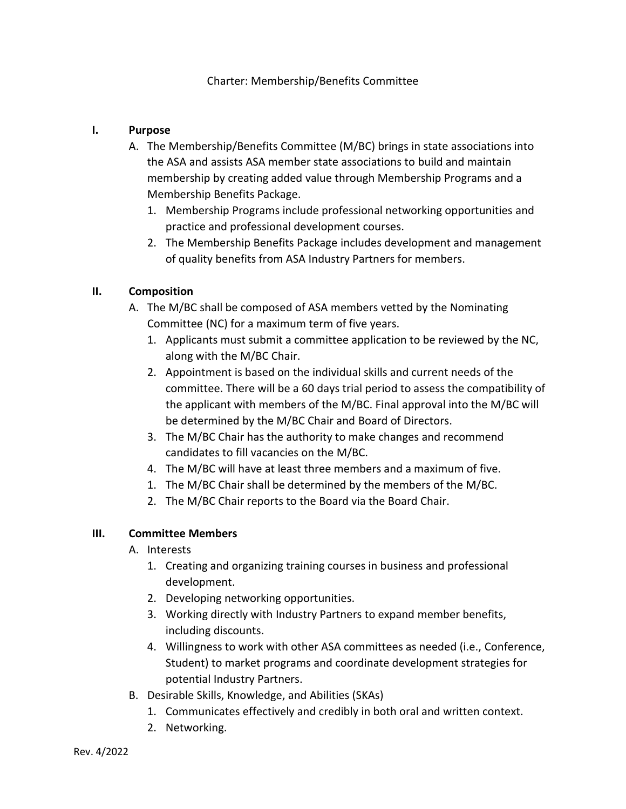### Charter: Membership/Benefits Committee

#### **I. Purpose**

- A. The Membership/Benefits Committee (M/BC) brings in state associations into the ASA and assists ASA member state associations to build and maintain membership by creating added value through Membership Programs and a Membership Benefits Package.
	- 1. Membership Programs include professional networking opportunities and practice and professional development courses.
	- 2. The Membership Benefits Package includes development and management of quality benefits from ASA Industry Partners for members.

### **II. Composition**

- A. The M/BC shall be composed of ASA members vetted by the Nominating Committee (NC) for a maximum term of five years.
	- 1. Applicants must submit a committee application to be reviewed by the NC, along with the M/BC Chair.
	- 2. Appointment is based on the individual skills and current needs of the committee. There will be a 60 days trial period to assess the compatibility of the applicant with members of the M/BC. Final approval into the M/BC will be determined by the M/BC Chair and Board of Directors.
	- 3. The M/BC Chair has the authority to make changes and recommend candidates to fill vacancies on the M/BC.
	- 4. The M/BC will have at least three members and a maximum of five.
	- 1. The M/BC Chair shall be determined by the members of the M/BC.
	- 2. The M/BC Chair reports to the Board via the Board Chair.

#### **III. Committee Members**

- A. Interests
	- 1. Creating and organizing training courses in business and professional development.
	- 2. Developing networking opportunities.
	- 3. Working directly with Industry Partners to expand member benefits, including discounts.
	- 4. Willingness to work with other ASA committees as needed (i.e., Conference, Student) to market programs and coordinate development strategies for potential Industry Partners.
- B. Desirable Skills, Knowledge, and Abilities (SKAs)
	- 1. Communicates effectively and credibly in both oral and written context.
	- 2. Networking.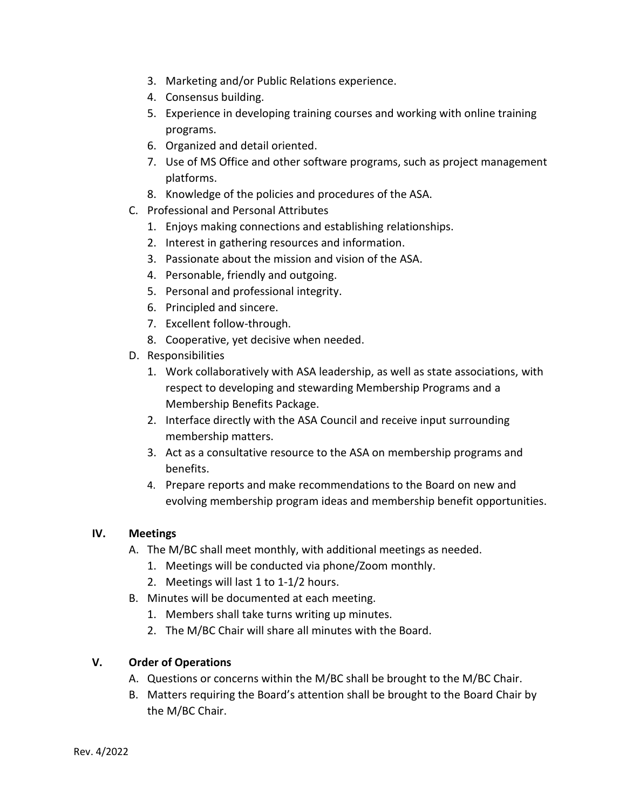- 3. Marketing and/or Public Relations experience.
- 4. Consensus building.
- 5. Experience in developing training courses and working with online training programs.
- 6. Organized and detail oriented.
- 7. Use of MS Office and other software programs, such as project management platforms.
- 8. Knowledge of the policies and procedures of the ASA.
- C. Professional and Personal Attributes
	- 1. Enjoys making connections and establishing relationships.
	- 2. Interest in gathering resources and information.
	- 3. Passionate about the mission and vision of the ASA.
	- 4. Personable, friendly and outgoing.
	- 5. Personal and professional integrity.
	- 6. Principled and sincere.
	- 7. Excellent follow-through.
	- 8. Cooperative, yet decisive when needed.
- D. Responsibilities
	- 1. Work collaboratively with ASA leadership, as well as state associations, with respect to developing and stewarding Membership Programs and a Membership Benefits Package.
	- 2. Interface directly with the ASA Council and receive input surrounding membership matters.
	- 3. Act as a consultative resource to the ASA on membership programs and benefits.
	- 4. Prepare reports and make recommendations to the Board on new and evolving membership program ideas and membership benefit opportunities.

## **IV. Meetings**

- A. The M/BC shall meet monthly, with additional meetings as needed.
	- 1. Meetings will be conducted via phone/Zoom monthly.
	- 2. Meetings will last 1 to 1-1/2 hours.
- B. Minutes will be documented at each meeting.
	- 1. Members shall take turns writing up minutes.
	- 2. The M/BC Chair will share all minutes with the Board.

## **V. Order of Operations**

- A. Questions or concerns within the M/BC shall be brought to the M/BC Chair.
- B. Matters requiring the Board's attention shall be brought to the Board Chair by the M/BC Chair.